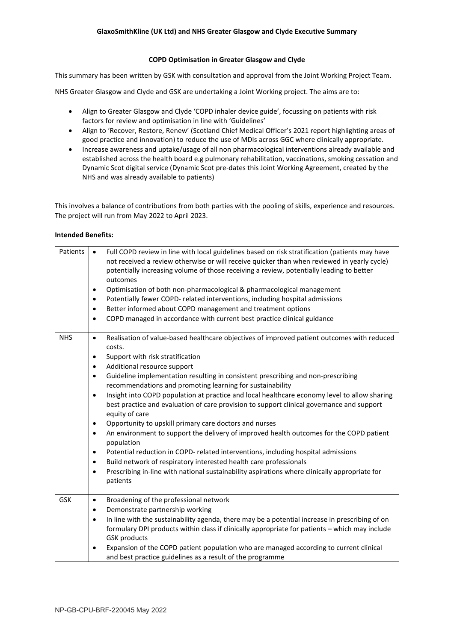## **COPD Optimisation in Greater Glasgow and Clyde**

This summary has been written by GSK with consultation and approval from the Joint Working Project Team.

NHS Greater Glasgow and Clyde and GSK are undertaking a Joint Working project. The aims are to:

- Align to Greater Glasgow and Clyde 'COPD inhaler device guide', focussing on patients with risk factors for review and optimisation in line with 'Guidelines'
- Align to 'Recover, Restore, Renew' (Scotland Chief Medical Officer's 2021 report highlighting areas of good practice and innovation) to reduce the use of MDIs across GGC where clinically appropriate.
- Increase awareness and uptake/usage of all non pharmacological interventions already available and established across the health board e.g pulmonary rehabilitation, vaccinations, smoking cessation and Dynamic Scot digital service (Dynamic Scot pre-dates this Joint Working Agreement, created by the NHS and was already available to patients)

This involves a balance of contributions from both parties with the pooling of skills, experience and resources. The project will run from May 2022 to April 2023.

## **Intended Benefits:**

| Patients   | Full COPD review in line with local guidelines based on risk stratification (patients may have<br>$\bullet$<br>not received a review otherwise or will receive quicker than when reviewed in yearly cycle)<br>potentially increasing volume of those receiving a review, potentially leading to better<br>outcomes<br>Optimisation of both non-pharmacological & pharmacological management<br>$\bullet$<br>Potentially fewer COPD- related interventions, including hospital admissions<br>$\bullet$<br>Better informed about COPD management and treatment options<br>$\bullet$<br>COPD managed in accordance with current best practice clinical guidance<br>$\bullet$                                                                                                                                                                                                                                                                                                                                                                                                                                   |
|------------|-------------------------------------------------------------------------------------------------------------------------------------------------------------------------------------------------------------------------------------------------------------------------------------------------------------------------------------------------------------------------------------------------------------------------------------------------------------------------------------------------------------------------------------------------------------------------------------------------------------------------------------------------------------------------------------------------------------------------------------------------------------------------------------------------------------------------------------------------------------------------------------------------------------------------------------------------------------------------------------------------------------------------------------------------------------------------------------------------------------|
| <b>NHS</b> | Realisation of value-based healthcare objectives of improved patient outcomes with reduced<br>$\bullet$<br>costs.<br>Support with risk stratification<br>$\bullet$<br>Additional resource support<br>$\bullet$<br>Guideline implementation resulting in consistent prescribing and non-prescribing<br>$\bullet$<br>recommendations and promoting learning for sustainability<br>Insight into COPD population at practice and local healthcare economy level to allow sharing<br>$\bullet$<br>best practice and evaluation of care provision to support clinical governance and support<br>equity of care<br>Opportunity to upskill primary care doctors and nurses<br>$\bullet$<br>An environment to support the delivery of improved health outcomes for the COPD patient<br>$\bullet$<br>population<br>Potential reduction in COPD- related interventions, including hospital admissions<br>$\bullet$<br>Build network of respiratory interested health care professionals<br>٠<br>Prescribing in-line with national sustainability aspirations where clinically appropriate for<br>$\bullet$<br>patients |
| GSK        | Broadening of the professional network<br>$\bullet$<br>Demonstrate partnership working<br>$\bullet$<br>In line with the sustainability agenda, there may be a potential increase in prescribing of on<br>$\bullet$<br>formulary DPI products within class if clinically appropriate for patients - which may include<br><b>GSK products</b><br>Expansion of the COPD patient population who are managed according to current clinical<br>$\bullet$<br>and best practice guidelines as a result of the programme                                                                                                                                                                                                                                                                                                                                                                                                                                                                                                                                                                                             |